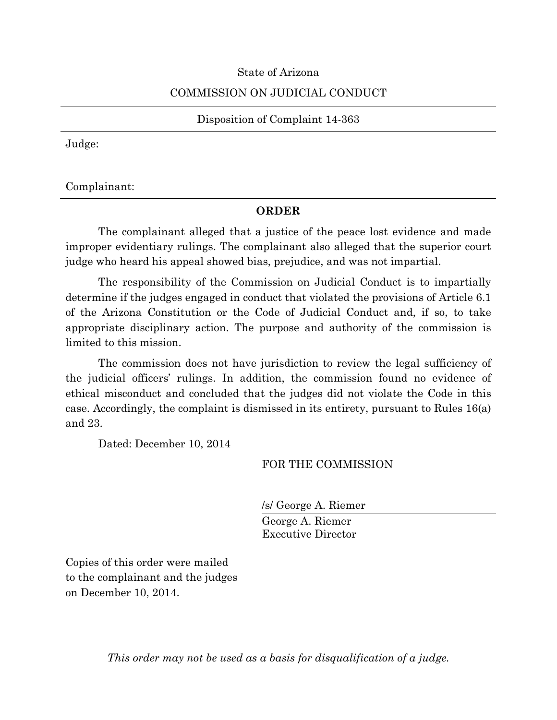## State of Arizona

# COMMISSION ON JUDICIAL CONDUCT

Disposition of Complaint 14-363

Judge:

Complainant:

# **ORDER**

The complainant alleged that a justice of the peace lost evidence and made improper evidentiary rulings. The complainant also alleged that the superior court judge who heard his appeal showed bias, prejudice, and was not impartial.

The responsibility of the Commission on Judicial Conduct is to impartially determine if the judges engaged in conduct that violated the provisions of Article 6.1 of the Arizona Constitution or the Code of Judicial Conduct and, if so, to take appropriate disciplinary action. The purpose and authority of the commission is limited to this mission.

The commission does not have jurisdiction to review the legal sufficiency of the judicial officers' rulings. In addition, the commission found no evidence of ethical misconduct and concluded that the judges did not violate the Code in this case. Accordingly, the complaint is dismissed in its entirety, pursuant to Rules 16(a) and 23.

Dated: December 10, 2014

# FOR THE COMMISSION

/s/ George A. Riemer

George A. Riemer Executive Director

Copies of this order were mailed to the complainant and the judges on December 10, 2014.

*This order may not be used as a basis for disqualification of a judge.*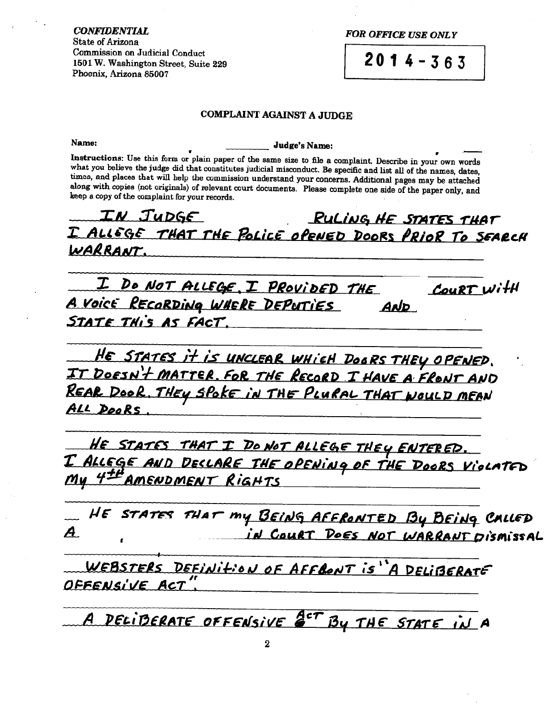**FOR OFFICE USE ONLY** 

 $2014 - 363$ 

#### **COMPLAINT AGAINST A JUDGE**

Name:

Judge's Name:

Instructions: Use this form or plain paper of the same size to file a complaint. Describe in your own words what you believe the judge did that constitutes judicial misconduct. Be specific and list all of the names, dates, times, and places that will help the commission understand your concerns. Additional pages may be attached along with copies (not originals) of relevant court documents. Please complete one side of the paper only, and keep a copy of the complaint for your records.

IN JUDGE RULING HE STATES THAT I ALLEGE THAT THE POLICE OPENED DOORS PRIOR TO SEARCH WARRANT.

I DO NOT ALLEGE, I PROVIDED THE COURT With A Voice RECORDING WHERE DEPUTIES AND STATE THIS AS FACT.

HE STATES it is UNCLEAR WHICH DOORS THEY OPENED. IT DOESN'T MATTER, FOR THE RECORD I HAVE A FRONT AND REAR DOOR, THEY SPOKE IN THE PLURAL THAT WOULD MEAN ALL DooRs

HE STATES THAT I DO NOT ALLEGE THEY ENTERED. <u>I AllEGE AND DECLARE THE OPENING OF THE DOORS VIOLATED</u> My 4<sup>+H</sup> AMENDMENT RIGHTS

HE STATES THAT MY BEING AFFRONTED BY BEING CALLED A IN COURT DOES NOT WARRANT DISMISSAL

WEBSTERS DEFINITION OF AFFRONT IS"A DELIBERATE OFFENSIVE ACT

A DELIBERATE OFFENSIVE <sup>ACT</sup> BY THE STATE IN A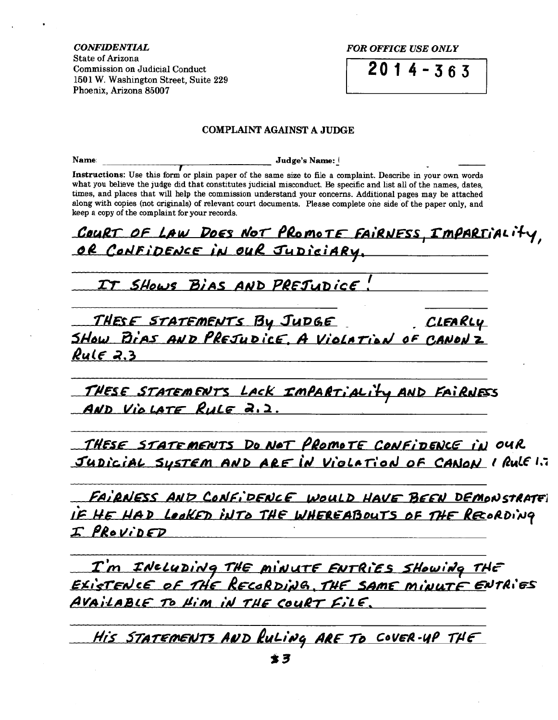**FOR OFFICE USE ONLY** 

 $2014 - 363$ 

#### **COMPLAINT AGAINST A JUDGE**

Name Judge's Name:

Instructions: Use this form or plain paper of the same size to file a complaint. Describe in your own words what you believe the judge did that constitutes judicial misconduct. Be specific and list all of the names, dates, times, and places that will help the commission understand your concerns. Additional pages may be attached along with copies (not originals) of relevant court documents. Please complete one side of the paper only, and keep a copy of the complaint for your records.

COURT OF LAW DOES NOT PROMOTE FAIRNESS, IMPARTIALIty OR CONFIDENCE IN OUR JUDICIARY.

IT SHOWS BIAS AND PREJUDICE!

THESE STATEMENTS By JUDGE CLEARLY SHOW BIAS AND PREJUDICE, A VIOLATION OF CANONZ  $Rule 2.3$ 

THESE STATEMENTS LACK IMPARTIALITY AND FAIRNESS AND VIOLATE RULE 2.2.

THESE STATEMENTS DO NOT PROMOTE CONFIDENCE IN OUR JUDICIAL SYSTEM AND ARE IN VIOLATION OF CANON I RULE 1.7

FAIRNESS AND CONFIDENCE WOULD HAVE BEEN DEMONSTRATE IF HE HAD LOOKED INTO THE WHEREABOUTS OF THE RECORDING I PROVIDED

I'm INCLUDING THE MINUTE ENTRIES SHOWING THE<br>EXISTENCE OF THE RECORDING, THE SAME MINUTE ENTRIES AVAILABLE TO HIM IN THE COURT FILE.

His STATEMENTS AND RULING ARE TO COVER-UP THE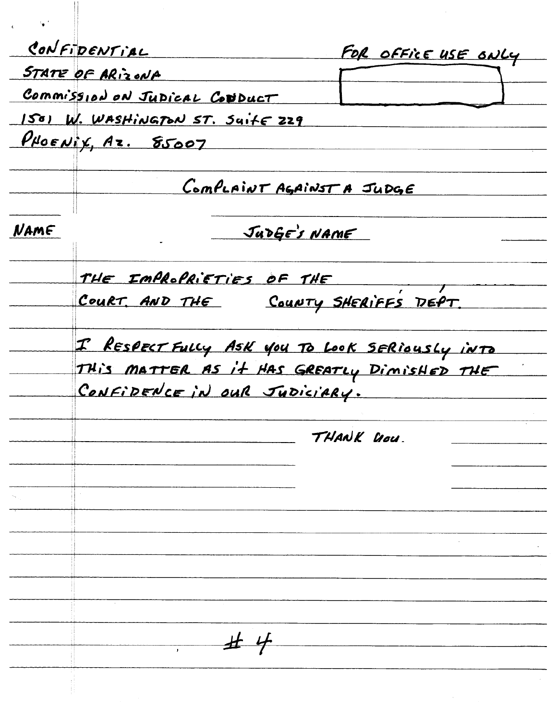|      | CONFIDENTIAL<br>FOR OFFICE USE ONLY                                                                                          |  |  |
|------|------------------------------------------------------------------------------------------------------------------------------|--|--|
|      | STATE OF ARIZONA                                                                                                             |  |  |
|      | Commission on Judical Conduct                                                                                                |  |  |
|      | 1501 W. WASHINGTON ST. SUILE 229                                                                                             |  |  |
|      | PHOENix, Az. 85007                                                                                                           |  |  |
|      | CompLaINT AGAINST A JUDGE                                                                                                    |  |  |
| NAME | JUDGE'S NAME                                                                                                                 |  |  |
|      | THE IMPROPRIETIES OF THE                                                                                                     |  |  |
|      | COURT, AND THE COUNTY SHERIFFS DEPT.                                                                                         |  |  |
|      | I RESPECT FULLY ASK YOU TO LOOK SERIOUSLY INTO<br>THIS MATTER AS It HAS GREATLY DIMISHED THE<br>CONFIDENCE IN OUR JUDICIARY. |  |  |
|      | THANK UOU.                                                                                                                   |  |  |
|      |                                                                                                                              |  |  |
|      |                                                                                                                              |  |  |
|      |                                                                                                                              |  |  |
|      |                                                                                                                              |  |  |
|      |                                                                                                                              |  |  |
|      |                                                                                                                              |  |  |
|      |                                                                                                                              |  |  |
|      |                                                                                                                              |  |  |
|      |                                                                                                                              |  |  |
|      | $\#$ 4                                                                                                                       |  |  |
|      |                                                                                                                              |  |  |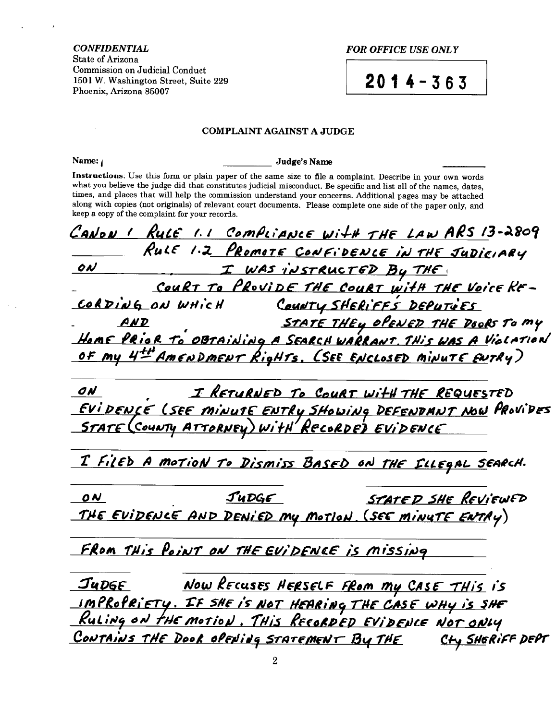**FOR OFFICE USE ONLY** 

 $2014 - 363$ 

#### **COMPLAINT AGAINST A JUDGE**

Name:

Judge's Name

Instructions: Use this form or plain paper of the same size to file a complaint. Describe in your own words what you believe the judge did that constitutes judicial misconduct. Be specific and list all of the names, dates, times, and places that will help the commission understand your concerns. Additional pages may be attached along with copies (not originals) of relevant court documents. Please complete one side of the paper only, and keep a copy of the complaint for your records.

CANON I RULE 1.1 COMPLIANCE WITH THE LAW ARS 13-2809 RULE 1.2 PROMOTE CONFIDENCE IN THE JUDICIARY I WAS INSTRUCTED BY THE ON COURT TO PROVIDE THE COURT WITH THE VOICE RE-COUNTY SHERIFFS DEPUTIVES CORDING ON WHICH STATE THEY OPENED THE DOORS TO MY  $AND$ HOME PRIOR TO OBTAINING A SEARCH WARRANT. THIS WAS A VIOLATION OF My 4<sup>+H</sup> AMENDMENT RigHTS. (SEE ENCLOSED MINUTE ENTRY) I RETURNED TO COURT WITH THE REQUESTED ON <u>EVIDENCE (SEE MINUTE ENTRY SHOWING DEFENDANT NOW</u> PROVIDES STATE (COUNTY ATTORNEY) WITH RECORDED EVIDENCE I FILED A MOTION TO DISMISS BASED ON THE FLLEGAL SEARCH.  $J$ u $D$ g $\epsilon$ STATED SHE REVIEWED 0 N THE EVIDENCE AND DENIED MY MOTION. (SEE MINUTE ENTRY) FROM THIS POINT ON THE EVIDENCE IS MISSING <u>Judge</u><br>Impropriety. If she is not Hearing the Case why is she<br>Ruling on the motion. This Recorded Evidence Not only CONTAINS THE DOOR OPENING STATEMENT BY THE Cty SHERIFF DEPT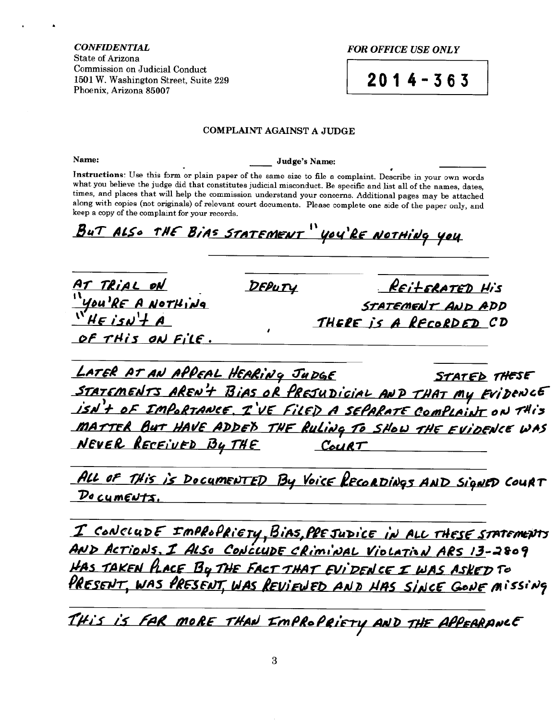**FOR OFFICE USE ONLY** 

 $2014 - 363$ 

## **COMPLAINT AGAINST A JUDGE**

Name:

Judge's Name:

Instructions: Use this form or plain paper of the same size to file a complaint. Describe in your own words what you believe the judge did that constitutes judicial misconduct. Be specific and list all of the names, dates, times, and places that will help the commission understand your concerns. Additional pages may be attached along with copies (not originals) of relevant court documents. Please complete one side of the paper only, and keep a copy of the complaint for your records.

BUT ALSO THE BIAS STATEMENT " YOU'RE NOTHING YOU

|                                                                      | DEPUTY | <u>REILERATED HIS</u>                       |
|----------------------------------------------------------------------|--------|---------------------------------------------|
| <u>AT TRIAL ON<br/>"You'RE A NOTHING"</u><br>"HE ISN' <del>H</del> A |        | STATEMENT AND ADD<br>THERE is A RECORDED CD |
| OF THIS ON FILE.                                                     |        |                                             |

LATER AT AN APPEAL HEARING JUDGE STATED THESE STATEMENTS AREN'T BIAS OR PRESUDICIAL AND THAT MY EVIDENCE ISN't OF IMPORTANCE. I'VE FILED A SEPARATE COMPLAINT ON THIS MATTER BUT HAVE ADDED THE RULING TO SHOW THE EVIDENCE WAS NEVER RECEIVED By THE  $CouRT$ 

ALL OF THIS IS DOCUMENTED By Voice RECORDINGS AND SIGNED COURT Documents.

<u>I ConcludE Impropriety, Bias, presudice in all these statements</u><br>AND Actions, I Also Conclude criminal Violation ARS 13-2809 HAS TAKEN PLACE BY THE FACT THAT EVIDENCE I WAS ASKED TO<br>PRESENT, WAS PRESENT, WAS REVIEWED AND HAS SINCE GONE MISSING

THIS IS FAR MORE THAN EMPROPRIETY AND THE APPEARANCE